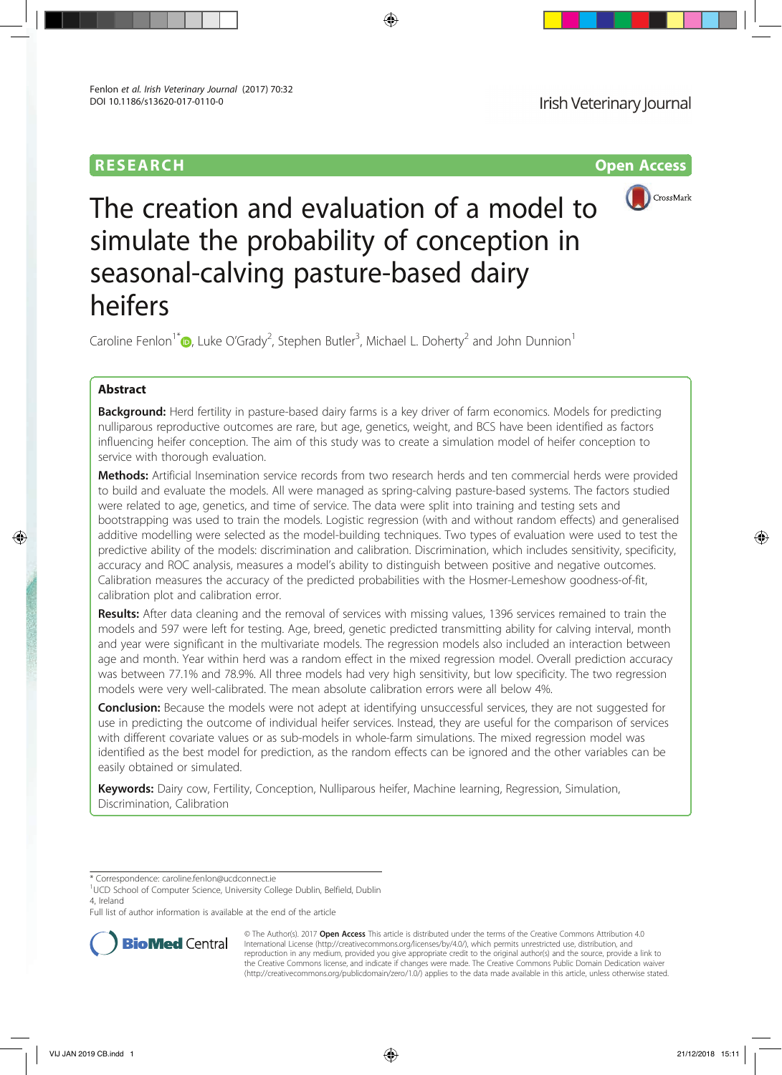# RESEARCH Open Access



# The creation and evaluation of a model to simulate the probability of conception in seasonal-calving pasture-based dairy heifers

Caroline Fenlon<sup>1\*</sup><sup>®</sup>, Luke O'Grady<sup>2</sup>, Stephen Butler<sup>3</sup>, Michael L. Doherty<sup>2</sup> and John Dunnion<sup>1</sup>

# **Abstract**

**Background:** Herd fertility in pasture-based dairy farms is a key driver of farm economics. Models for predicting nulliparous reproductive outcomes are rare, but age, genetics, weight, and BCS have been identified as factors influencing heifer conception. The aim of this study was to create a simulation model of heifer conception to service with thorough evaluation.

Methods: Artificial Insemination service records from two research herds and ten commercial herds were provided to build and evaluate the models. All were managed as spring-calving pasture-based systems. The factors studied were related to age, genetics, and time of service. The data were split into training and testing sets and bootstrapping was used to train the models. Logistic regression (with and without random effects) and generalised additive modelling were selected as the model-building techniques. Two types of evaluation were used to test the predictive ability of the models: discrimination and calibration. Discrimination, which includes sensitivity, specificity, accuracy and ROC analysis, measures a model's ability to distinguish between positive and negative outcomes. Calibration measures the accuracy of the predicted probabilities with the Hosmer-Lemeshow goodness-of-fit, calibration plot and calibration error.

Results: After data cleaning and the removal of services with missing values, 1396 services remained to train the models and 597 were left for testing. Age, breed, genetic predicted transmitting ability for calving interval, month and year were significant in the multivariate models. The regression models also included an interaction between age and month. Year within herd was a random effect in the mixed regression model. Overall prediction accuracy was between 77.1% and 78.9%. All three models had very high sensitivity, but low specificity. The two regression models were very well-calibrated. The mean absolute calibration errors were all below 4%.

**Conclusion:** Because the models were not adept at identifying unsuccessful services, they are not suggested for use in predicting the outcome of individual heifer services. Instead, they are useful for the comparison of services with different covariate values or as sub-models in whole-farm simulations. The mixed regression model was identified as the best model for prediction, as the random effects can be ignored and the other variables can be easily obtained or simulated.

Keywords: Dairy cow, Fertility, Conception, Nulliparous heifer, Machine learning, Regression, Simulation, Discrimination, Calibration

\* Correspondence: caroline.fenlon@ucdconnect.ie <sup>1</sup>

<sup>1</sup>UCD School of Computer Science, University College Dublin, Belfield, Dublin 4, Ireland

Full list of author information is available at the end of the article



© The Author(s). 2017 Open Access This article is distributed under the terms of the Creative Commons Attribution 4.0 International License (http://creativecommons.org/licenses/by/4.0/), which permits unrestricted use, distribution, and reproduction in any medium, provided you give appropriate credit to the original author(s) and the source, provide a link to the Creative Commons license, and indicate if changes were made. The Creative Commons Public Domain Dedication waiver (http://creativecommons.org/publicdomain/zero/1.0/) applies to the data made available in this article, unless otherwise stated.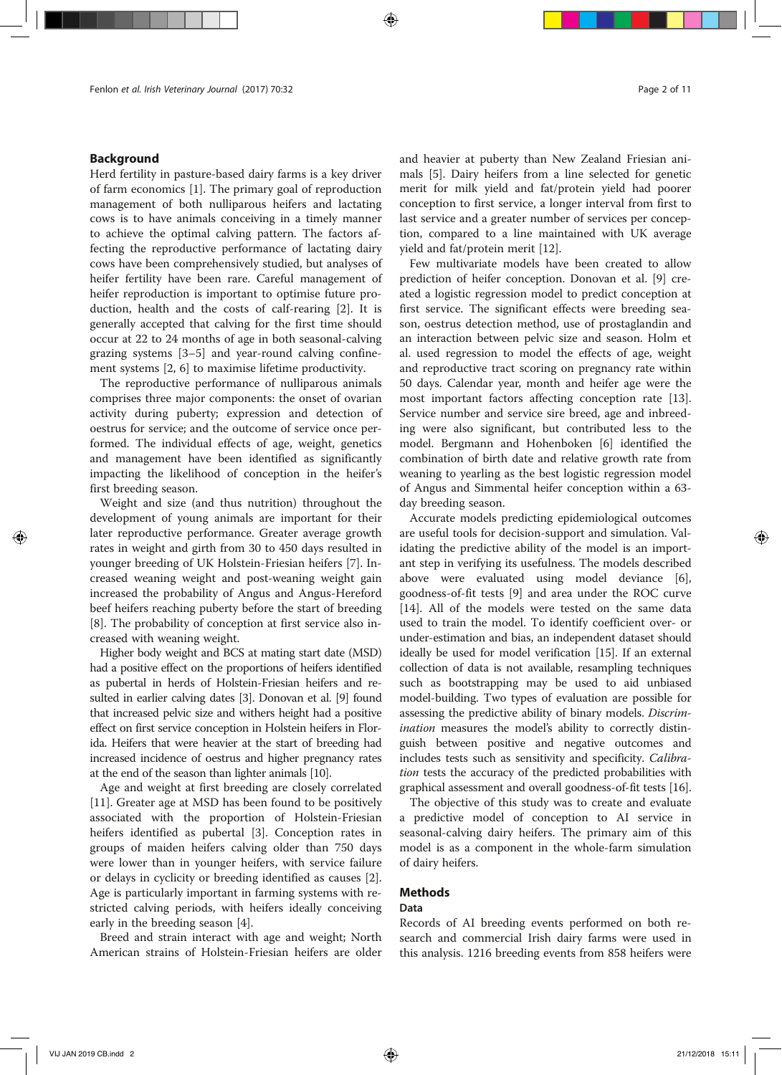#### Background

Herd fertility in pasture-based dairy farms is a key driver of farm economics [1]. The primary goal of reproduction management of both nulliparous heifers and lactating cows is to have animals conceiving in a timely manner to achieve the optimal calving pattern. The factors affecting the reproductive performance of lactating dairy cows have been comprehensively studied, but analyses of heifer fertility have been rare. Careful management of heifer reproduction is important to optimise future production, health and the costs of calf-rearing [2]. It is generally accepted that calving for the first time should occur at 22 to 24 months of age in both seasonal-calving grazing systems [3–5] and year-round calving confinement systems [2, 6] to maximise lifetime productivity.

The reproductive performance of nulliparous animals comprises three major components: the onset of ovarian activity during puberty; expression and detection of oestrus for service; and the outcome of service once performed. The individual effects of age, weight, genetics and management have been identified as significantly impacting the likelihood of conception in the heifer's first breeding season.

Weight and size (and thus nutrition) throughout the development of young animals are important for their later reproductive performance. Greater average growth rates in weight and girth from 30 to 450 days resulted in younger breeding of UK Holstein-Friesian heifers [7]. Increased weaning weight and post-weaning weight gain increased the probability of Angus and Angus-Hereford beef heifers reaching puberty before the start of breeding [8]. The probability of conception at first service also increased with weaning weight.

Higher body weight and BCS at mating start date (MSD) had a positive effect on the proportions of heifers identified as pubertal in herds of Holstein-Friesian heifers and resulted in earlier calving dates [3]. Donovan et al. [9] found that increased pelvic size and withers height had a positive effect on first service conception in Holstein heifers in Florida. Heifers that were heavier at the start of breeding had increased incidence of oestrus and higher pregnancy rates at the end of the season than lighter animals [10].

Age and weight at first breeding are closely correlated [11]. Greater age at MSD has been found to be positively associated with the proportion of Holstein-Friesian heifers identified as pubertal [3]. Conception rates in groups of maiden heifers calving older than 750 days were lower than in younger heifers, with service failure or delays in cyclicity or breeding identified as causes [2]. Age is particularly important in farming systems with restricted calving periods, with heifers ideally conceiving early in the breeding season [4].

Breed and strain interact with age and weight; North American strains of Holstein-Friesian heifers are older

and heavier at puberty than New Zealand Friesian animals [5]. Dairy heifers from a line selected for genetic merit for milk yield and fat/protein yield had poorer conception to first service, a longer interval from first to last service and a greater number of services per conception, compared to a line maintained with UK average yield and fat/protein merit [12].

Few multivariate models have been created to allow prediction of heifer conception. Donovan et al. [9] created a logistic regression model to predict conception at first service. The significant effects were breeding season, oestrus detection method, use of prostaglandin and an interaction between pelvic size and season. Holm et al. used regression to model the effects of age, weight and reproductive tract scoring on pregnancy rate within 50 days. Calendar year, month and heifer age were the most important factors affecting conception rate [13]. Service number and service sire breed, age and inbreeding were also significant, but contributed less to the model. Bergmann and Hohenboken [6] identified the combination of birth date and relative growth rate from weaning to yearling as the best logistic regression model of Angus and Simmental heifer conception within a 63 day breeding season.

Accurate models predicting epidemiological outcomes are useful tools for decision-support and simulation. Validating the predictive ability of the model is an important step in verifying its usefulness. The models described above were evaluated using model deviance [6], goodness-of-fit tests [9] and area under the ROC curve [14]. All of the models were tested on the same data used to train the model. To identify coefficient over- or under-estimation and bias, an independent dataset should ideally be used for model verification [15]. If an external collection of data is not available, resampling techniques such as bootstrapping may be used to aid unbiased model-building. Two types of evaluation are possible for assessing the predictive ability of binary models. *Discrim*ination measures the model's ability to correctly distinguish between positive and negative outcomes and includes tests such as sensitivity and specificity. Calibration tests the accuracy of the predicted probabilities with graphical assessment and overall goodness-of-fit tests [16].

The objective of this study was to create and evaluate a predictive model of conception to AI service in seasonal-calving dairy heifers. The primary aim of this model is as a component in the whole-farm simulation of dairy heifers.

#### **Methods**

#### Data

Records of AI breeding events performed on both research and commercial Irish dairy farms were used in this analysis. 1216 breeding events from 858 heifers were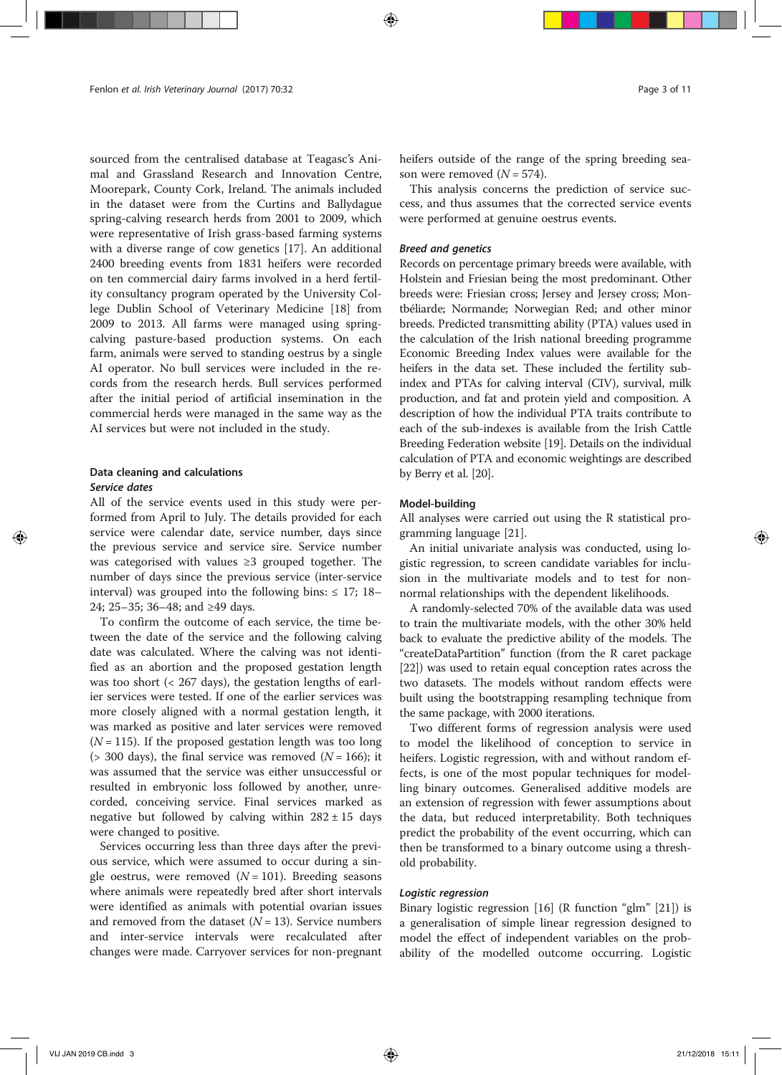sourced from the centralised database at Teagasc's Animal and Grassland Research and Innovation Centre, Moorepark, County Cork, Ireland. The animals included in the dataset were from the Curtins and Ballydague spring-calving research herds from 2001 to 2009, which were representative of Irish grass-based farming systems with a diverse range of cow genetics [17]. An additional 2400 breeding events from 1831 heifers were recorded on ten commercial dairy farms involved in a herd fertility consultancy program operated by the University College Dublin School of Veterinary Medicine [18] from 2009 to 2013. All farms were managed using springcalving pasture-based production systems. On each farm, animals were served to standing oestrus by a single AI operator. No bull services were included in the records from the research herds. Bull services performed after the initial period of artificial insemination in the commercial herds were managed in the same way as the AI services but were not included in the study.

# Data cleaning and calculations Service dates

All of the service events used in this study were performed from April to July. The details provided for each service were calendar date, service number, days since the previous service and service sire. Service number was categorised with values ≥3 grouped together. The number of days since the previous service (inter-service interval) was grouped into the following bins:  $\leq 17$ ; 18– 24; 25–35; 36–48; and ≥49 days.

To confirm the outcome of each service, the time between the date of the service and the following calving date was calculated. Where the calving was not identified as an abortion and the proposed gestation length was too short (< 267 days), the gestation lengths of earlier services were tested. If one of the earlier services was more closely aligned with a normal gestation length, it was marked as positive and later services were removed  $(N = 115)$ . If the proposed gestation length was too long ( $>$  300 days), the final service was removed ( $N = 166$ ); it was assumed that the service was either unsuccessful or resulted in embryonic loss followed by another, unrecorded, conceiving service. Final services marked as negative but followed by calving within  $282 \pm 15$  days were changed to positive.

Services occurring less than three days after the previous service, which were assumed to occur during a single oestrus, were removed  $(N = 101)$ . Breeding seasons where animals were repeatedly bred after short intervals were identified as animals with potential ovarian issues and removed from the dataset  $(N = 13)$ . Service numbers and inter-service intervals were recalculated after changes were made. Carryover services for non-pregnant heifers outside of the range of the spring breeding season were removed  $(N = 574)$ .

This analysis concerns the prediction of service success, and thus assumes that the corrected service events were performed at genuine oestrus events.

#### Breed and genetics

Records on percentage primary breeds were available, with Holstein and Friesian being the most predominant. Other breeds were: Friesian cross; Jersey and Jersey cross; Montbéliarde; Normande; Norwegian Red; and other minor breeds. Predicted transmitting ability (PTA) values used in the calculation of the Irish national breeding programme Economic Breeding Index values were available for the heifers in the data set. These included the fertility subindex and PTAs for calving interval (CIV), survival, milk production, and fat and protein yield and composition. A description of how the individual PTA traits contribute to each of the sub-indexes is available from the Irish Cattle Breeding Federation website [19]. Details on the individual calculation of PTA and economic weightings are described by Berry et al. [20].

## Model-building

All analyses were carried out using the R statistical programming language [21].

An initial univariate analysis was conducted, using logistic regression, to screen candidate variables for inclusion in the multivariate models and to test for nonnormal relationships with the dependent likelihoods.

A randomly-selected 70% of the available data was used to train the multivariate models, with the other 30% held back to evaluate the predictive ability of the models. The "createDataPartition" function (from the R caret package [22]) was used to retain equal conception rates across the two datasets. The models without random effects were built using the bootstrapping resampling technique from the same package, with 2000 iterations.

Two different forms of regression analysis were used to model the likelihood of conception to service in heifers. Logistic regression, with and without random effects, is one of the most popular techniques for modelling binary outcomes. Generalised additive models are an extension of regression with fewer assumptions about the data, but reduced interpretability. Both techniques predict the probability of the event occurring, which can then be transformed to a binary outcome using a threshold probability.

#### Logistic regression

Binary logistic regression [16] (R function "glm" [21]) is a generalisation of simple linear regression designed to model the effect of independent variables on the probability of the modelled outcome occurring. Logistic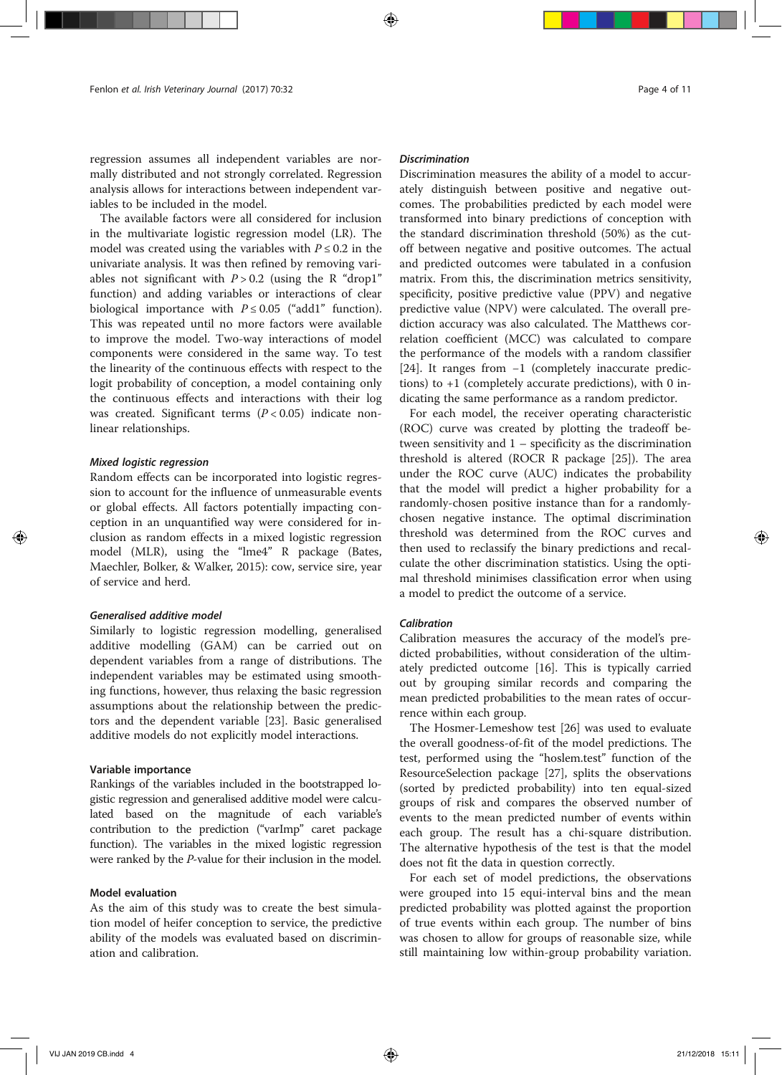regression assumes all independent variables are normally distributed and not strongly correlated. Regression analysis allows for interactions between independent variables to be included in the model.

The available factors were all considered for inclusion in the multivariate logistic regression model (LR). The model was created using the variables with  $P \le 0.2$  in the univariate analysis. It was then refined by removing variables not significant with  $P > 0.2$  (using the R "drop1" function) and adding variables or interactions of clear biological importance with  $P \le 0.05$  ("add1" function). This was repeated until no more factors were available to improve the model. Two-way interactions of model components were considered in the same way. To test the linearity of the continuous effects with respect to the logit probability of conception, a model containing only the continuous effects and interactions with their log was created. Significant terms  $(P < 0.05)$  indicate nonlinear relationships.

#### Mixed logistic regression

Random effects can be incorporated into logistic regression to account for the influence of unmeasurable events or global effects. All factors potentially impacting conception in an unquantified way were considered for inclusion as random effects in a mixed logistic regression model (MLR), using the "lme4" R package (Bates, Maechler, Bolker, & Walker, 2015): cow, service sire, year of service and herd.

#### Generalised additive model

Similarly to logistic regression modelling, generalised additive modelling (GAM) can be carried out on dependent variables from a range of distributions. The independent variables may be estimated using smoothing functions, however, thus relaxing the basic regression assumptions about the relationship between the predictors and the dependent variable [23]. Basic generalised additive models do not explicitly model interactions.

#### Variable importance

Rankings of the variables included in the bootstrapped logistic regression and generalised additive model were calculated based on the magnitude of each variable's contribution to the prediction ("varImp" caret package function). The variables in the mixed logistic regression were ranked by the P-value for their inclusion in the model.

## Model evaluation

As the aim of this study was to create the best simulation model of heifer conception to service, the predictive ability of the models was evaluated based on discrimination and calibration.

#### Discrimination

Discrimination measures the ability of a model to accurately distinguish between positive and negative outcomes. The probabilities predicted by each model were transformed into binary predictions of conception with the standard discrimination threshold (50%) as the cutoff between negative and positive outcomes. The actual and predicted outcomes were tabulated in a confusion matrix. From this, the discrimination metrics sensitivity, specificity, positive predictive value (PPV) and negative predictive value (NPV) were calculated. The overall prediction accuracy was also calculated. The Matthews correlation coefficient (MCC) was calculated to compare the performance of the models with a random classifier [24]. It ranges from −1 (completely inaccurate predictions) to +1 (completely accurate predictions), with 0 indicating the same performance as a random predictor.

For each model, the receiver operating characteristic (ROC) curve was created by plotting the tradeoff between sensitivity and 1 – specificity as the discrimination threshold is altered (ROCR R package [25]). The area under the ROC curve (AUC) indicates the probability that the model will predict a higher probability for a randomly-chosen positive instance than for a randomlychosen negative instance. The optimal discrimination threshold was determined from the ROC curves and then used to reclassify the binary predictions and recalculate the other discrimination statistics. Using the optimal threshold minimises classification error when using a model to predict the outcome of a service.

#### **Calibration**

Calibration measures the accuracy of the model's predicted probabilities, without consideration of the ultimately predicted outcome [16]. This is typically carried out by grouping similar records and comparing the mean predicted probabilities to the mean rates of occurrence within each group.

The Hosmer-Lemeshow test [26] was used to evaluate the overall goodness-of-fit of the model predictions. The test, performed using the "hoslem.test" function of the ResourceSelection package [27], splits the observations (sorted by predicted probability) into ten equal-sized groups of risk and compares the observed number of events to the mean predicted number of events within each group. The result has a chi-square distribution. The alternative hypothesis of the test is that the model does not fit the data in question correctly.

For each set of model predictions, the observations were grouped into 15 equi-interval bins and the mean predicted probability was plotted against the proportion of true events within each group. The number of bins was chosen to allow for groups of reasonable size, while still maintaining low within-group probability variation.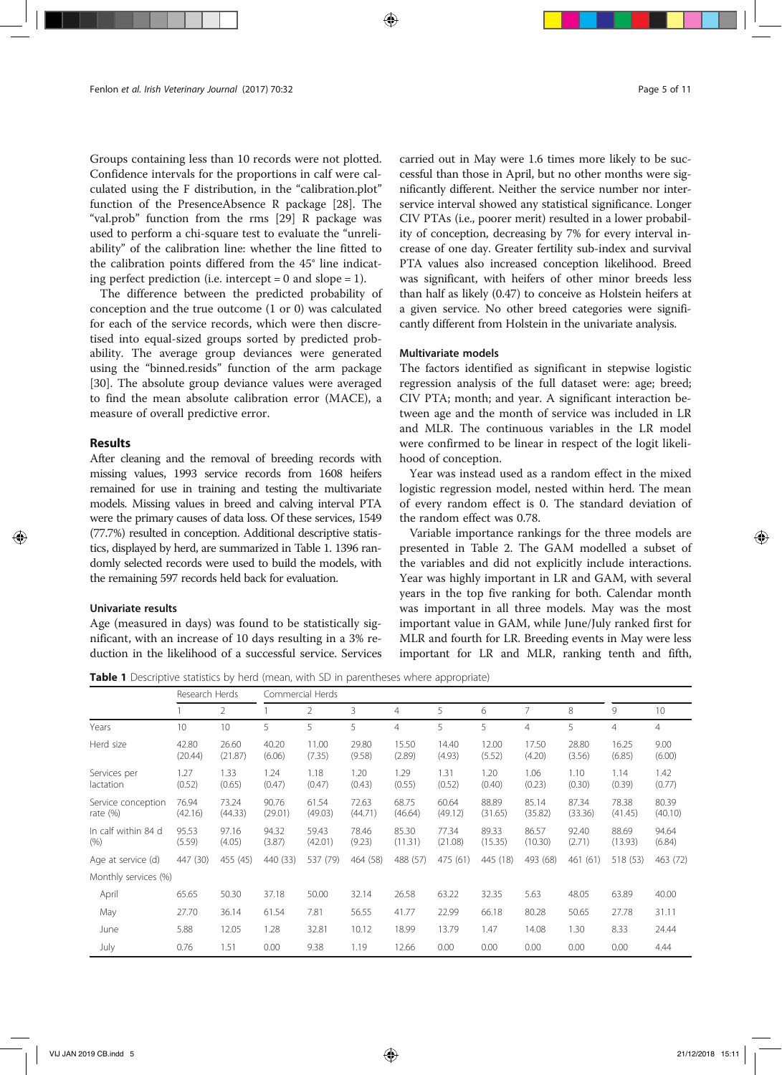Groups containing less than 10 records were not plotted. Confidence intervals for the proportions in calf were calculated using the F distribution, in the "calibration.plot" function of the PresenceAbsence R package [28]. The "val.prob" function from the rms [29] R package was used to perform a chi-square test to evaluate the "unreliability" of the calibration line: whether the line fitted to the calibration points differed from the 45° line indicating perfect prediction (i.e. intercept  $= 0$  and slope  $= 1$ ).

The difference between the predicted probability of conception and the true outcome (1 or 0) was calculated for each of the service records, which were then discretised into equal-sized groups sorted by predicted probability. The average group deviances were generated using the "binned.resids" function of the arm package [30]. The absolute group deviance values were averaged to find the mean absolute calibration error (MACE), a measure of overall predictive error.

## Results

After cleaning and the removal of breeding records with missing values, 1993 service records from 1608 heifers remained for use in training and testing the multivariate models. Missing values in breed and calving interval PTA were the primary causes of data loss. Of these services, 1549 (77.7%) resulted in conception. Additional descriptive statistics, displayed by herd, are summarized in Table 1. 1396 randomly selected records were used to build the models, with the remaining 597 records held back for evaluation.

#### Univariate results

Age (measured in days) was found to be statistically significant, with an increase of 10 days resulting in a 3% reduction in the likelihood of a successful service. Services

carried out in May were 1.6 times more likely to be successful than those in April, but no other months were significantly different. Neither the service number nor interservice interval showed any statistical significance. Longer CIV PTAs (i.e., poorer merit) resulted in a lower probability of conception, decreasing by 7% for every interval increase of one day. Greater fertility sub-index and survival PTA values also increased conception likelihood. Breed was significant, with heifers of other minor breeds less than half as likely (0.47) to conceive as Holstein heifers at a given service. No other breed categories were significantly different from Holstein in the univariate analysis.

### Multivariate models

The factors identified as significant in stepwise logistic regression analysis of the full dataset were: age; breed; CIV PTA; month; and year. A significant interaction between age and the month of service was included in LR and MLR. The continuous variables in the LR model were confirmed to be linear in respect of the logit likelihood of conception.

Year was instead used as a random effect in the mixed logistic regression model, nested within herd. The mean of every random effect is 0. The standard deviation of the random effect was 0.78.

Variable importance rankings for the three models are presented in Table 2. The GAM modelled a subset of the variables and did not explicitly include interactions. Year was highly important in LR and GAM, with several years in the top five ranking for both. Calendar month was important in all three models. May was the most important value in GAM, while June/July ranked first for MLR and fourth for LR. Breeding events in May were less important for LR and MLR, ranking tenth and fifth,

Table 1 Descriptive statistics by herd (mean, with SD in parentheses where appropriate)

|                                   | Research Herds   |                  | Commercial Herds |                  |                  |                  |                  |                  |                  |                  |                  |                  |
|-----------------------------------|------------------|------------------|------------------|------------------|------------------|------------------|------------------|------------------|------------------|------------------|------------------|------------------|
|                                   |                  | $\overline{2}$   |                  | 2                | 3                | 4                | 5                | 6                | 7                | 8                | 9                | 10               |
| Years                             | 10               | 10               | 5                | 5                | 5                | 4                | 5                | 5                | $\overline{4}$   | 5                | $\overline{4}$   | $\overline{4}$   |
| Herd size                         | 42.80<br>(20.44) | 26.60<br>(21.87) | 40.20<br>(6.06)  | 11.00<br>(7.35)  | 29.80<br>(9.58)  | 15.50<br>(2.89)  | 14.40<br>(4.93)  | 12.00<br>(5.52)  | 17.50<br>(4.20)  | 28.80<br>(3.56)  | 16.25<br>(6.85)  | 9.00<br>(6.00)   |
| Services per<br>lactation         | 1.27<br>(0.52)   | 1.33<br>(0.65)   | 1.24<br>(0.47)   | 1.18<br>(0.47)   | 1.20<br>(0.43)   | 1.29<br>(0.55)   | 1.31<br>(0.52)   | 1.20<br>(0.40)   | 1.06<br>(0.23)   | 1.10<br>(0.30)   | 1.14<br>(0.39)   | 1.42<br>(0.77)   |
| Service conception<br>rate $(\%)$ | 76.94<br>(42.16) | 73.24<br>(44.33) | 90.76<br>(29.01) | 61.54<br>(49.03) | 72.63<br>(44.71) | 68.75<br>(46.64) | 60.64<br>(49.12) | 88.89<br>(31.65) | 85.14<br>(35.82) | 87.34<br>(33.36) | 78.38<br>(41.45) | 80.39<br>(40.10) |
| In calf within 84 d<br>(% )       | 95.53<br>(5.59)  | 97.16<br>(4.05)  | 94.32<br>(3.87)  | 59.43<br>(42.01) | 78.46<br>(9.23)  | 85.30<br>(11.31) | 77.34<br>(21.08) | 89.33<br>(15.35) | 86.57<br>(10.30) | 92.40<br>(2.71)  | 88.69<br>(13.93) | 94.64<br>(6.84)  |
| Age at service (d)                | 447 (30)         | 455 (45)         | 440 (33)         | 537 (79)         | 464 (58)         | 488 (57)         | 475 (61)         | 445 (18)         | 493 (68)         | 461 (61)         | 518 (53)         | 463 (72)         |
| Monthly services (%)              |                  |                  |                  |                  |                  |                  |                  |                  |                  |                  |                  |                  |
| April                             | 65.65            | 50.30            | 37.18            | 50.00            | 32.14            | 26.58            | 63.22            | 32.35            | 5.63             | 48.05            | 63.89            | 40.00            |
| May                               | 27.70            | 36.14            | 61.54            | 7.81             | 56.55            | 41.77            | 22.99            | 66.18            | 80.28            | 50.65            | 27.78            | 31.11            |
| June                              | 5.88             | 12.05            | 1.28             | 32.81            | 10.12            | 18.99            | 13.79            | 1.47             | 14.08            | 1.30             | 8.33             | 24.44            |
| July                              | 0.76             | 1.51             | 0.00             | 9.38             | 1.19             | 12.66            | 0.00             | 0.00             | 0.00             | 0.00             | 0.00             | 4.44             |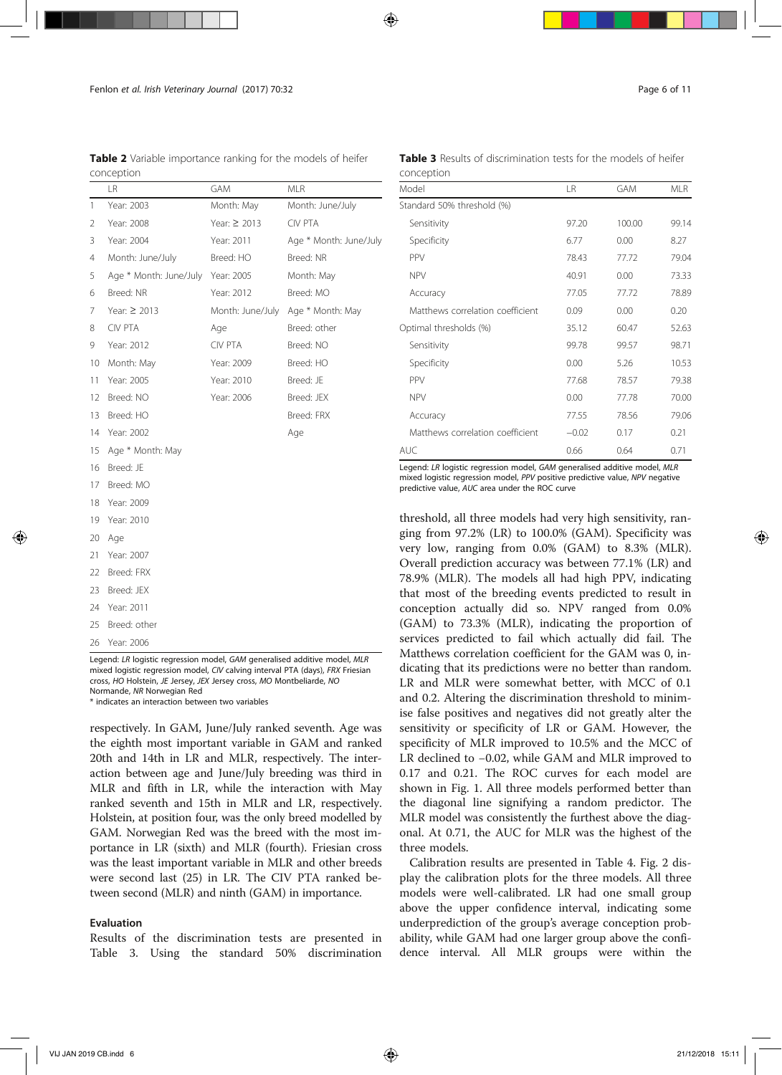Table 2 Variable importance ranking for the models of heifer conception

|    | LR                                | GAM               | <b>MLR</b>             |
|----|-----------------------------------|-------------------|------------------------|
| 1  | Year: 2003                        | Month: May        | Month: June/July       |
| 2  | Year: 2008                        | Year: $\geq 2013$ | <b>CIV PTA</b>         |
| 3  | Year: 2004                        | Year: 2011        | Age * Month: June/July |
| 4  | Month: June/July                  | Breed: HO         | Breed: NR              |
| 5  | Age * Month: June/July Year: 2005 |                   | Month: May             |
| 6  | Breed: NR                         | Year: 2012        | Breed: MO              |
| 7  | Year: $\geq$ 2013                 | Month: June/July  | Age * Month: May       |
| 8  | <b>CIV PTA</b>                    | Age               | Breed: other           |
| 9  | Year: 2012                        | CIV PTA           | Breed: NO              |
| 10 | Month: May                        | Year: 2009        | Breed: HO              |
| 11 | Year: 2005                        | Year: 2010        | Breed: JE              |
| 12 | Breed: NO                         | Year: 2006        | Breed: JEX             |
| 13 | Breed: HO                         |                   | Breed: FRX             |
| 14 | Year: 2002                        |                   | Age                    |
| 15 | Age * Month: May                  |                   |                        |
| 16 | Breed: JE                         |                   |                        |
| 17 | Breed: MO                         |                   |                        |
| 18 | Year: 2009                        |                   |                        |
| 19 | Year: 2010                        |                   |                        |
| 20 | Age                               |                   |                        |
| 21 | Year: 2007                        |                   |                        |
| 22 | Breed: FRX                        |                   |                        |
| 23 | Breed: JEX                        |                   |                        |
| 24 | Year: 2011                        |                   |                        |
| 25 | Breed: other                      |                   |                        |
| 26 | Year: 2006                        |                   |                        |

Legend: LR logistic regression model, GAM generalised additive model, MLR mixed logistic regression model, CIV calving interval PTA (days), FRX Friesian cross, HO Holstein, JE Jersey, JEX Jersey cross, MO Montbeliarde, NO Normande, NR Norwegian Red

\* indicates an interaction between two variables

respectively. In GAM, June/July ranked seventh. Age was the eighth most important variable in GAM and ranked 20th and 14th in LR and MLR, respectively. The interaction between age and June/July breeding was third in MLR and fifth in LR, while the interaction with May ranked seventh and 15th in MLR and LR, respectively. Holstein, at position four, was the only breed modelled by GAM. Norwegian Red was the breed with the most importance in LR (sixth) and MLR (fourth). Friesian cross was the least important variable in MLR and other breeds were second last (25) in LR. The CIV PTA ranked between second (MLR) and ninth (GAM) in importance.

#### Evaluation

Results of the discrimination tests are presented in Table 3. Using the standard 50% discrimination

Model LR GAM MLR Standard 50% threshold (%)

Table 3 Results of discrimination tests for the models of heifer

conception

| Sensitivity                      | 97.20   | 100.00 | 99.14 |
|----------------------------------|---------|--------|-------|
| Specificity                      | 6.77    | 0.00   | 8.27  |
| PPV                              | 78.43   | 77.72  | 79.04 |
| <b>NPV</b>                       | 40.91   | 0.00   | 73.33 |
| Accuracy                         | 77.05   | 77.72  | 78.89 |
| Matthews correlation coefficient | 0.09    | 0.00   | 0.20  |
| Optimal thresholds (%)           | 35.12   | 60.47  | 52.63 |
| Sensitivity                      | 99.78   | 99.57  | 98.71 |
| Specificity                      | 0.00    | 5.26   | 10.53 |
| <b>PPV</b>                       | 77.68   | 78.57  | 79.38 |
| <b>NPV</b>                       | 0.00    | 77.78  | 70.00 |
| Accuracy                         | 77.55   | 78.56  | 79.06 |
| Matthews correlation coefficient | $-0.02$ | 0.17   | 0.21  |
| <b>AUC</b>                       | 0.66    | 0.64   | 0.71  |

Legend: LR logistic regression model, GAM generalised additive model, MLR mixed logistic regression model, PPV positive predictive value, NPV negative predictive value, AUC area under the ROC curve

threshold, all three models had very high sensitivity, ranging from 97.2% (LR) to 100.0% (GAM). Specificity was very low, ranging from 0.0% (GAM) to 8.3% (MLR). Overall prediction accuracy was between 77.1% (LR) and 78.9% (MLR). The models all had high PPV, indicating that most of the breeding events predicted to result in conception actually did so. NPV ranged from 0.0% (GAM) to 73.3% (MLR), indicating the proportion of services predicted to fail which actually did fail. The Matthews correlation coefficient for the GAM was 0, indicating that its predictions were no better than random. LR and MLR were somewhat better, with MCC of 0.1 and 0.2. Altering the discrimination threshold to minimise false positives and negatives did not greatly alter the sensitivity or specificity of LR or GAM. However, the specificity of MLR improved to 10.5% and the MCC of LR declined to −0.02, while GAM and MLR improved to 0.17 and 0.21. The ROC curves for each model are shown in Fig. 1. All three models performed better than the diagonal line signifying a random predictor. The MLR model was consistently the furthest above the diagonal. At 0.71, the AUC for MLR was the highest of the three models.

Calibration results are presented in Table 4. Fig. 2 display the calibration plots for the three models. All three models were well-calibrated. LR had one small group above the upper confidence interval, indicating some underprediction of the group's average conception probability, while GAM had one larger group above the confidence interval. All MLR groups were within the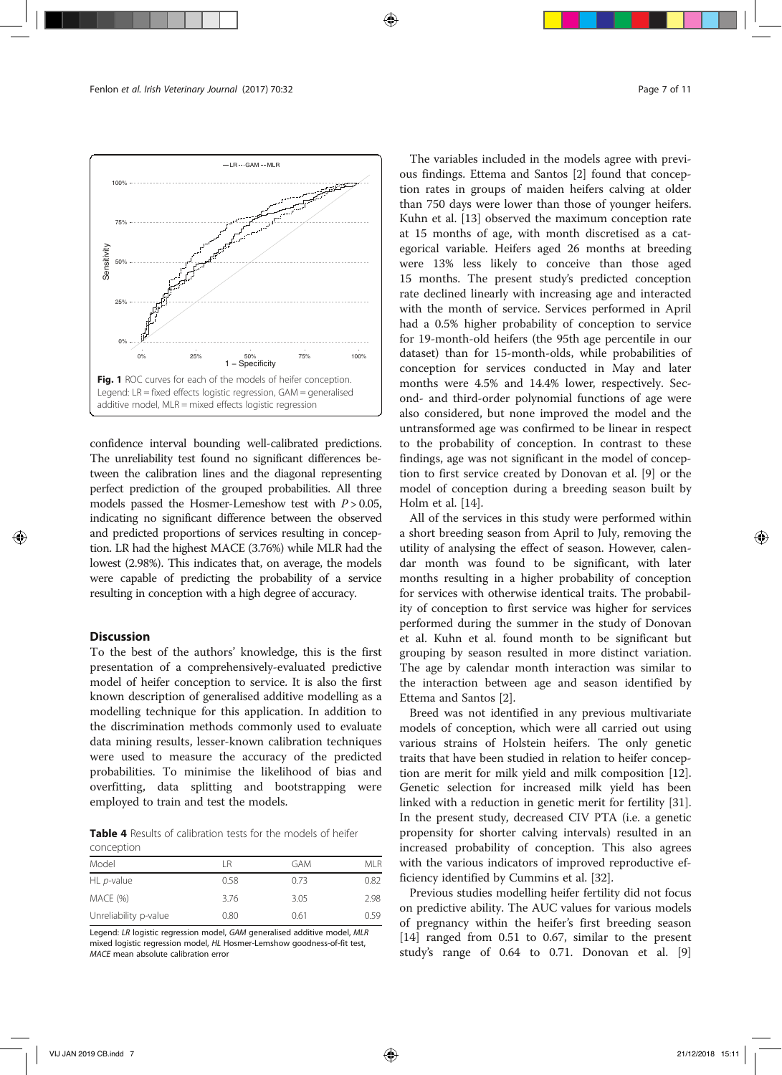

confidence interval bounding well-calibrated predictions. The unreliability test found no significant differences between the calibration lines and the diagonal representing perfect prediction of the grouped probabilities. All three models passed the Hosmer-Lemeshow test with  $P > 0.05$ , indicating no significant difference between the observed and predicted proportions of services resulting in conception. LR had the highest MACE (3.76%) while MLR had the lowest (2.98%). This indicates that, on average, the models were capable of predicting the probability of a service resulting in conception with a high degree of accuracy.

### **Discussion**

To the best of the authors' knowledge, this is the first presentation of a comprehensively-evaluated predictive model of heifer conception to service. It is also the first known description of generalised additive modelling as a modelling technique for this application. In addition to the discrimination methods commonly used to evaluate data mining results, lesser-known calibration techniques were used to measure the accuracy of the predicted probabilities. To minimise the likelihood of bias and overfitting, data splitting and bootstrapping were employed to train and test the models.

Table 4 Results of calibration tests for the models of heifer conception

| Model                 | ΙR   | GAM  | MI R |
|-----------------------|------|------|------|
| $HL$ <i>p</i> -value  | 0.58 | 0.73 | 0.82 |
| MACE (%)              | 3.76 | 3.05 | 2.98 |
| Unreliability p-value | 0.80 | 0.61 | 0.59 |

Legend: LR logistic regression model, GAM generalised additive model, MLR mixed logistic regression model, HL Hosmer-Lemshow goodness-of-fit test, MACE mean absolute calibration error

The variables included in the models agree with previous findings. Ettema and Santos [2] found that conception rates in groups of maiden heifers calving at older than 750 days were lower than those of younger heifers. Kuhn et al. [13] observed the maximum conception rate at 15 months of age, with month discretised as a categorical variable. Heifers aged 26 months at breeding were 13% less likely to conceive than those aged 15 months. The present study's predicted conception rate declined linearly with increasing age and interacted with the month of service. Services performed in April had a 0.5% higher probability of conception to service for 19-month-old heifers (the 95th age percentile in our dataset) than for 15-month-olds, while probabilities of conception for services conducted in May and later months were 4.5% and 14.4% lower, respectively. Second- and third-order polynomial functions of age were also considered, but none improved the model and the untransformed age was confirmed to be linear in respect to the probability of conception. In contrast to these findings, age was not significant in the model of conception to first service created by Donovan et al. [9] or the model of conception during a breeding season built by Holm et al. [14].

All of the services in this study were performed within a short breeding season from April to July, removing the utility of analysing the effect of season. However, calendar month was found to be significant, with later months resulting in a higher probability of conception for services with otherwise identical traits. The probability of conception to first service was higher for services performed during the summer in the study of Donovan et al. Kuhn et al. found month to be significant but grouping by season resulted in more distinct variation. The age by calendar month interaction was similar to the interaction between age and season identified by Ettema and Santos [2].

Breed was not identified in any previous multivariate models of conception, which were all carried out using various strains of Holstein heifers. The only genetic traits that have been studied in relation to heifer conception are merit for milk yield and milk composition [12]. Genetic selection for increased milk yield has been linked with a reduction in genetic merit for fertility [31]. In the present study, decreased CIV PTA (i.e. a genetic propensity for shorter calving intervals) resulted in an increased probability of conception. This also agrees with the various indicators of improved reproductive efficiency identified by Cummins et al. [32].

Previous studies modelling heifer fertility did not focus on predictive ability. The AUC values for various models of pregnancy within the heifer's first breeding season [14] ranged from 0.51 to 0.67, similar to the present study's range of 0.64 to 0.71. Donovan et al. [9]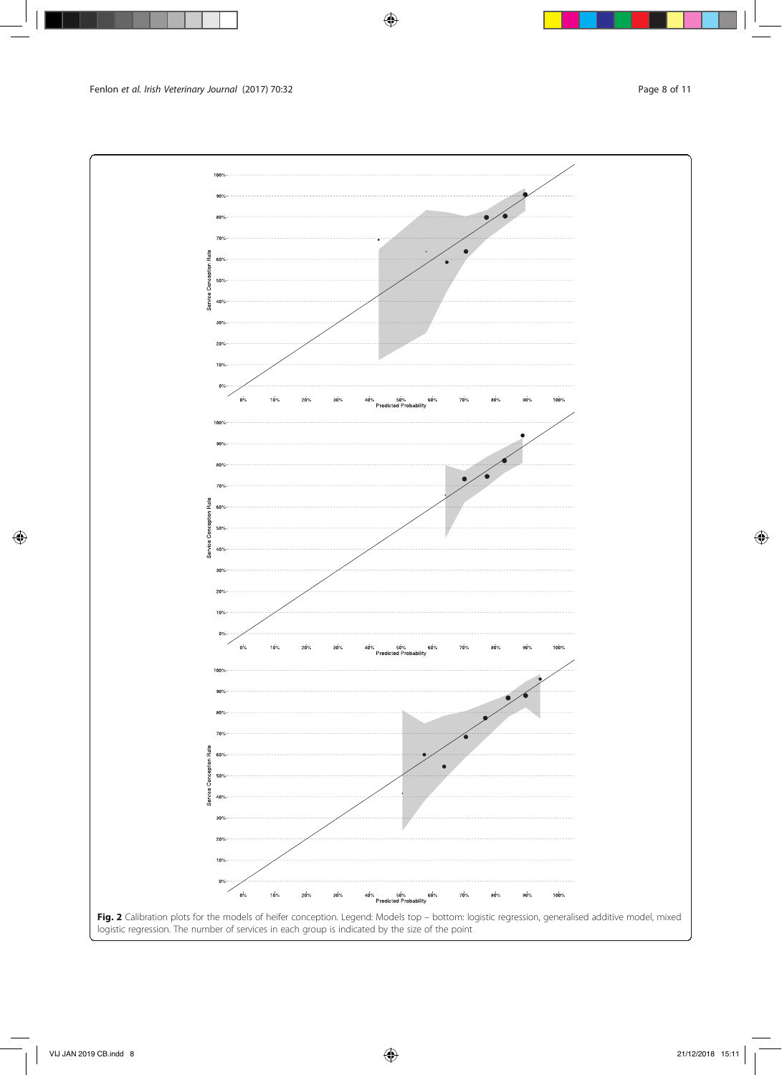100%  $90°$ 70 Rate 60% Concep vice 40%  $30^{o}$ 109 0%  $0\%$  $10%$ 20%  $30%$ 50%<br>Predicted Probability 60%  $70%$  $80%$ 90% 100% aós 100% 80 70% Rate ncep 50 δ Service 40% 20 10%  $0\%$ 40% 50% 60%<br>Predicted Probability  $10\%$  $20%$  $30\%$  $70%$ .<br>80° 9ó% 100% 100% 80% Rate Concep 50% Service  $40<sup>o</sup>$  $100$  $0\%$  $10%$  $20%$  $30\%$ 40% 50% 60%<br>Predicted Probability  $70\%$  $80\%$  $90\%$ 100% Fig. 2 Calibration plots for the models of heifer conception. Legend: Models top - bottom: logistic regression, generalised additive model, mixed logistic regression. The number of services in each group is indicated by the size of the point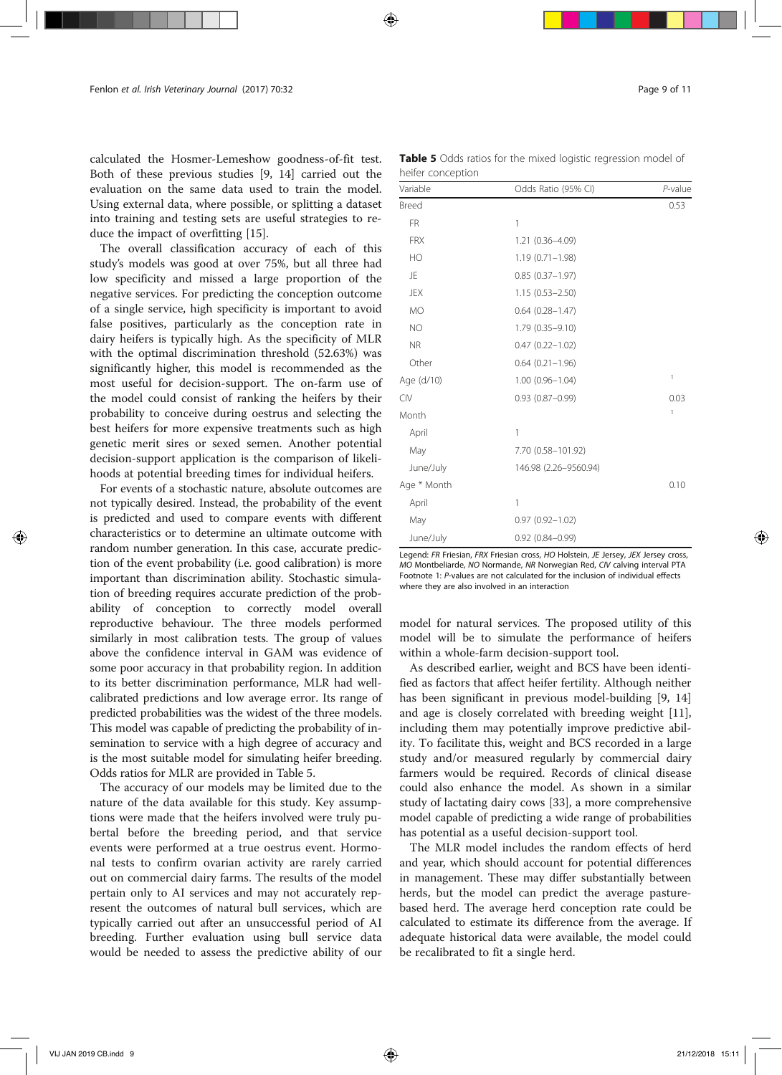calculated the Hosmer-Lemeshow goodness-of-fit test. Both of these previous studies [9, 14] carried out the evaluation on the same data used to train the model. Using external data, where possible, or splitting a dataset into training and testing sets are useful strategies to reduce the impact of overfitting [15].

The overall classification accuracy of each of this study's models was good at over 75%, but all three had low specificity and missed a large proportion of the negative services. For predicting the conception outcome of a single service, high specificity is important to avoid false positives, particularly as the conception rate in dairy heifers is typically high. As the specificity of MLR with the optimal discrimination threshold (52.63%) was significantly higher, this model is recommended as the most useful for decision-support. The on-farm use of the model could consist of ranking the heifers by their probability to conceive during oestrus and selecting the best heifers for more expensive treatments such as high genetic merit sires or sexed semen. Another potential decision-support application is the comparison of likelihoods at potential breeding times for individual heifers.

For events of a stochastic nature, absolute outcomes are not typically desired. Instead, the probability of the event is predicted and used to compare events with different characteristics or to determine an ultimate outcome with random number generation. In this case, accurate prediction of the event probability (i.e. good calibration) is more important than discrimination ability. Stochastic simulation of breeding requires accurate prediction of the probability of conception to correctly model overall reproductive behaviour. The three models performed similarly in most calibration tests. The group of values above the confidence interval in GAM was evidence of some poor accuracy in that probability region. In addition to its better discrimination performance, MLR had wellcalibrated predictions and low average error. Its range of predicted probabilities was the widest of the three models. This model was capable of predicting the probability of insemination to service with a high degree of accuracy and is the most suitable model for simulating heifer breeding. Odds ratios for MLR are provided in Table 5.

The accuracy of our models may be limited due to the nature of the data available for this study. Key assumptions were made that the heifers involved were truly pubertal before the breeding period, and that service events were performed at a true oestrus event. Hormonal tests to confirm ovarian activity are rarely carried out on commercial dairy farms. The results of the model pertain only to AI services and may not accurately represent the outcomes of natural bull services, which are typically carried out after an unsuccessful period of AI breeding. Further evaluation using bull service data would be needed to assess the predictive ability of our

Table 5 Odds ratios for the mixed logistic regression model of heifer conception

| Variable    | Odds Ratio (95% CI)    | $P$ -value   |
|-------------|------------------------|--------------|
| Breed       |                        | 0.53         |
| <b>FR</b>   | 1                      |              |
| <b>FRX</b>  | 1.21 (0.36-4.09)       |              |
| HO          | $1.19(0.71 - 1.98)$    |              |
| JE          | $0.85(0.37 - 1.97)$    |              |
| <b>JEX</b>  | $1.15(0.53 - 2.50)$    |              |
| <b>MO</b>   | $0.64$ $(0.28 - 1.47)$ |              |
| <b>NO</b>   | 1.79 (0.35-9.10)       |              |
| <b>NR</b>   | $0.47(0.22 - 1.02)$    |              |
| Other       | $0.64$ $(0.21 - 1.96)$ |              |
| Age (d/10)  | $1.00(0.96 - 1.04)$    | $\mathbf{1}$ |
| CIV         | $0.93(0.87 - 0.99)$    | 0.03         |
| Month       |                        | 1            |
| April       | 1                      |              |
| May         | 7.70 (0.58-101.92)     |              |
| June/July   | 146.98 (2.26-9560.94)  |              |
| Age * Month |                        | 0.10         |
| April       | 1                      |              |
| May         | $0.97(0.92 - 1.02)$    |              |
| June/July   | $0.92$ $(0.84 - 0.99)$ |              |

Legend: FR Friesian, FRX Friesian cross, HO Holstein, JE Jersey, JEX Jersey cross, MO Montbeliarde, NO Normande, NR Norwegian Red, CIV calving interval PTA Footnote 1: P-values are not calculated for the inclusion of individual effects where they are also involved in an interaction

model for natural services. The proposed utility of this model will be to simulate the performance of heifers within a whole-farm decision-support tool.

As described earlier, weight and BCS have been identified as factors that affect heifer fertility. Although neither has been significant in previous model-building [9, 14] and age is closely correlated with breeding weight [11], including them may potentially improve predictive ability. To facilitate this, weight and BCS recorded in a large study and/or measured regularly by commercial dairy farmers would be required. Records of clinical disease could also enhance the model. As shown in a similar study of lactating dairy cows [33], a more comprehensive model capable of predicting a wide range of probabilities has potential as a useful decision-support tool.

The MLR model includes the random effects of herd and year, which should account for potential differences in management. These may differ substantially between herds, but the model can predict the average pasturebased herd. The average herd conception rate could be calculated to estimate its difference from the average. If adequate historical data were available, the model could be recalibrated to fit a single herd.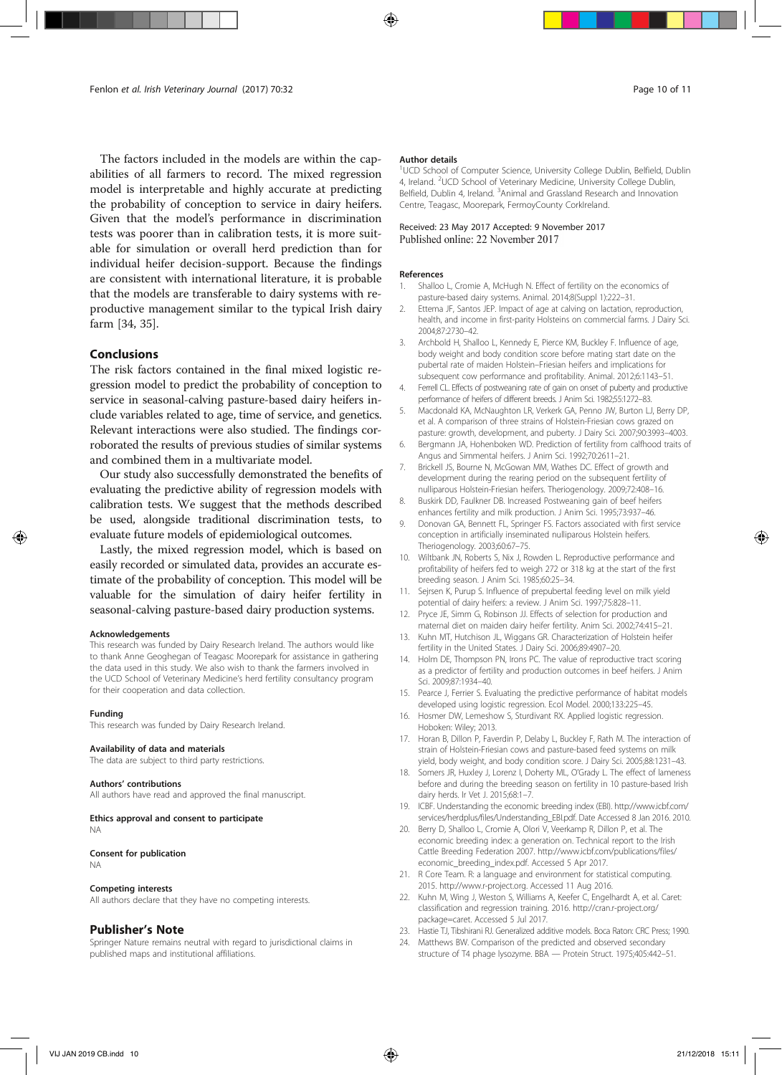The factors included in the models are within the capabilities of all farmers to record. The mixed regression model is interpretable and highly accurate at predicting the probability of conception to service in dairy heifers. Given that the model's performance in discrimination tests was poorer than in calibration tests, it is more suitable for simulation or overall herd prediction than for individual heifer decision-support. Because the findings are consistent with international literature, it is probable that the models are transferable to dairy systems with reproductive management similar to the typical Irish dairy farm [34, 35].

## **Conclusions**

The risk factors contained in the final mixed logistic regression model to predict the probability of conception to service in seasonal-calving pasture-based dairy heifers include variables related to age, time of service, and genetics. Relevant interactions were also studied. The findings corroborated the results of previous studies of similar systems and combined them in a multivariate model.

Our study also successfully demonstrated the benefits of evaluating the predictive ability of regression models with calibration tests. We suggest that the methods described be used, alongside traditional discrimination tests, to evaluate future models of epidemiological outcomes.

Lastly, the mixed regression model, which is based on easily recorded or simulated data, provides an accurate estimate of the probability of conception. This model will be valuable for the simulation of dairy heifer fertility in seasonal-calving pasture-based dairy production systems.

#### Acknowledgements

This research was funded by Dairy Research Ireland. The authors would like to thank Anne Geoghegan of Teagasc Moorepark for assistance in gathering the data used in this study. We also wish to thank the farmers involved in the UCD School of Veterinary Medicine's herd fertility consultancy program for their cooperation and data collection.

#### Funding

This research was funded by Dairy Research Ireland.

#### Availability of data and materials

The data are subject to third party restrictions.

#### Authors' contributions

All authors have read and approved the final manuscript.

Ethics approval and consent to participate NA

Consent for publication NA

#### Competing interests

All authors declare that they have no competing interests.

## Publisher's Note

Springer Nature remains neutral with regard to jurisdictional claims in published maps and institutional affiliations.

#### Author details

<sup>1</sup>UCD School of Computer Science, University College Dublin, Belfield, Dublin 4, Ireland. <sup>2</sup>UCD School of Veterinary Medicine, University College Dublin, Belfield, Dublin 4, Ireland. <sup>3</sup> Animal and Grassland Research and Innovation Centre, Teagasc, Moorepark, FermoyCounty CorkIreland.

#### Received: 23 May 2017 Accepted: 9 November 2017 Published online: 22 November 2017

#### References

- 1. Shalloo L, Cromie A, McHugh N. Effect of fertility on the economics of pasture-based dairy systems. Animal. 2014;8(Suppl 1):222–31.
- 2. Ettema JF, Santos JEP. Impact of age at calving on lactation, reproduction, health, and income in first-parity Holsteins on commercial farms. J Dairy Sci. 2004;87:2730–42.
- 3. Archbold H, Shalloo L, Kennedy E, Pierce KM, Buckley F. Influence of age, body weight and body condition score before mating start date on the pubertal rate of maiden Holstein–Friesian heifers and implications for subsequent cow performance and profitability. Animal. 2012;6:1143–51.
- 4. Ferrell CL. Effects of postweaning rate of gain on onset of puberty and productive performance of heifers of different breeds. J Anim Sci. 1982;55:1272–83.
- 5. Macdonald KA, McNaughton LR, Verkerk GA, Penno JW, Burton LJ, Berry DP, et al. A comparison of three strains of Holstein-Friesian cows grazed on pasture: growth, development, and puberty. J Dairy Sci. 2007;90:3993–4003.
- 6. Bergmann JA, Hohenboken WD. Prediction of fertility from calfhood traits of Angus and Simmental heifers. J Anim Sci. 1992;70:2611–21.
- 7. Brickell JS, Bourne N, McGowan MM, Wathes DC. Effect of growth and development during the rearing period on the subsequent fertility of nulliparous Holstein-Friesian heifers. Theriogenology. 2009;72:408–16.
- 8. Buskirk DD, Faulkner DB. Increased Postweaning gain of beef heifers enhances fertility and milk production. J Anim Sci. 1995;73:937–46.
- 9. Donovan GA, Bennett FL, Springer FS. Factors associated with first service conception in artificially inseminated nulliparous Holstein heifers. Theriogenology. 2003;60:67–75.
- 10. Wiltbank JN, Roberts S, Nix J, Rowden L. Reproductive performance and profitability of heifers fed to weigh 272 or 318 kg at the start of the first breeding season. J Anim Sci. 1985;60:25–34.
- 11. Sejrsen K, Purup S. Influence of prepubertal feeding level on milk yield potential of dairy heifers: a review. J Anim Sci. 1997;75:828–11.
- 12. Pryce JE, Simm G, Robinson JJ. Effects of selection for production and maternal diet on maiden dairy heifer fertility. Anim Sci. 2002;74:415–21.
- 13. Kuhn MT, Hutchison JL, Wiggans GR. Characterization of Holstein heifer fertility in the United States. J Dairy Sci. 2006;89:4907–20.
- 14. Holm DE, Thompson PN, Irons PC. The value of reproductive tract scoring as a predictor of fertility and production outcomes in beef heifers. J Anim Sci. 2009;87:1934–40.
- 15. Pearce J, Ferrier S. Evaluating the predictive performance of habitat models developed using logistic regression. Ecol Model. 2000;133:225–45.
- 16. Hosmer DW, Lemeshow S, Sturdivant RX. Applied logistic regression. Hoboken: Wiley; 2013.
- 17. Horan B, Dillon P, Faverdin P, Delaby L, Buckley F, Rath M. The interaction of strain of Holstein-Friesian cows and pasture-based feed systems on milk yield, body weight, and body condition score. J Dairy Sci. 2005;88:1231–43.
- 18. Somers JR, Huxley J, Lorenz I, Doherty ML, O'Grady L. The effect of lameness before and during the breeding season on fertility in 10 pasture-based Irish dairy herds. Ir Vet J. 2015;68:1–7.
- 19. ICBF. Understanding the economic breeding index (EBI). http://www.icbf.com/ services/herdplus/files/Understanding\_EBI.pdf. Date Accessed 8 Jan 2016. 2010.
- 20. Berry D, Shalloo L, Cromie A, Olori V, Veerkamp R, Dillon P, et al. The economic breeding index: a generation on. Technical report to the Irish Cattle Breeding Federation 2007. http://www.icbf.com/publications/files/ economic\_breeding\_index.pdf. Accessed 5 Apr 2017.
- 21. R Core Team. R: a language and environment for statistical computing. 2015. http://www.r-project.org. Accessed 11 Aug 2016.
- 22. Kuhn M, Wing J, Weston S, Williams A, Keefer C, Engelhardt A, et al. Caret: classification and regression training. 2016. http://cran.r-project.org/ package=caret. Accessed 5 Jul 2017.
- 23. Hastie TJ, Tibshirani RJ. Generalized additive models. Boca Raton: CRC Press; 1990.
- 24. Matthews BW. Comparison of the predicted and observed secondary structure of T4 phage lysozyme. BBA — Protein Struct. 1975;405:442–51.